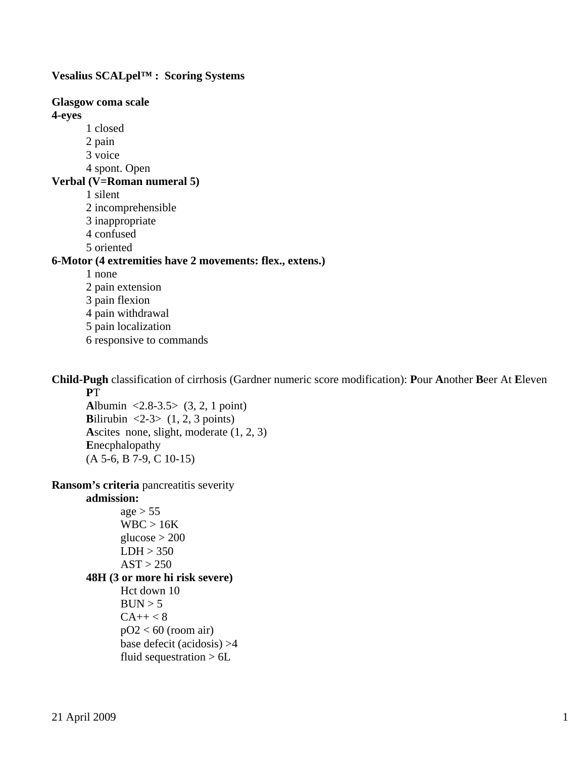**Vesalius SCALpel™ : Scoring Systems** 

**Glasgow coma scale 4-eyes**  1 closed 2 pain 3 voice 4 spont. Open **Verbal (V=Roman numeral 5)**  1 silent 2 incomprehensible 3 inappropriate 4 confused 5 oriented **6-Motor (4 extremities have 2 movements: flex., extens.)**  1 none 2 pain extension 3 pain flexion 4 pain withdrawal 5 pain localization 6 responsive to commands

**Child-Pugh** classification of cirrhosis (Gardner numeric score modification): **P**our **A**nother **B**eer At **E**leven  **P**T

 **A**lbumin <2.8-3.5> (3, 2, 1 point) **Bilirubin** <2-3>  $(1, 2, 3 \text{ points})$  **A**scites none, slight, moderate (1, 2, 3)  **E**necphalopathy (A 5-6, B 7-9, C 10-15)

**Ransom's criteria** pancreatitis severity

#### **admission:**

 $age > 55$  WBC > 16K glucose  $>$  200  $LDH > 350$  $AST > 250$ **48H (3 or more hi risk severe)**  Hct down 10  $BUN > 5$  $CA++ < 8$  $pO2 < 60$  (room air) base defecit (acidosis) >4 fluid sequestration  $> 6L$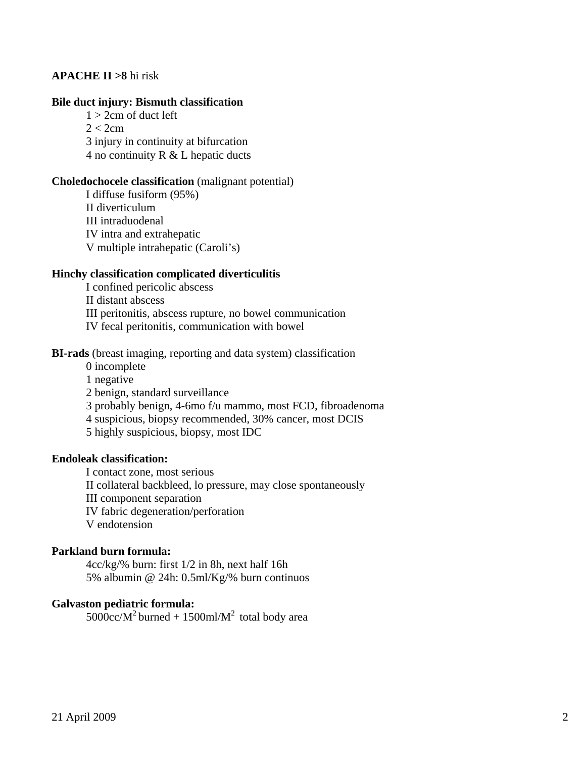# **APACHE II >8** hi risk

### **Bile duct injury: Bismuth classification**

 $1 > 2$ cm of duct left  $2 < 2cm$  3 injury in continuity at bifurcation 4 no continuity R & L hepatic ducts

## **Choledochocele classification** (malignant potential)

 I diffuse fusiform (95%) II diverticulum III intraduodenal IV intra and extrahepatic V multiple intrahepatic (Caroli's)

# **Hinchy classification complicated diverticulitis**

 I confined pericolic abscess II distant abscess III peritonitis, abscess rupture, no bowel communication IV fecal peritonitis, communication with bowel

## **BI-rads** (breast imaging, reporting and data system) classification

 0 incomplete 1 negative 2 benign, standard surveillance 3 probably benign, 4-6mo f/u mammo, most FCD, fibroadenoma 4 suspicious, biopsy recommended, 30% cancer, most DCIS 5 highly suspicious, biopsy, most IDC

### **Endoleak classification:**

 I contact zone, most serious II collateral backbleed, lo pressure, may close spontaneously III component separation IV fabric degeneration/perforation V endotension

#### **Parkland burn formula:**

 4cc/kg/% burn: first 1/2 in 8h, next half 16h 5% albumin @ 24h: 0.5ml/Kg/% burn continuos

### **Galvaston pediatric formula:**

 $5000$ cc/M<sup>2</sup> burned + 1500ml/M<sup>2</sup> total body area